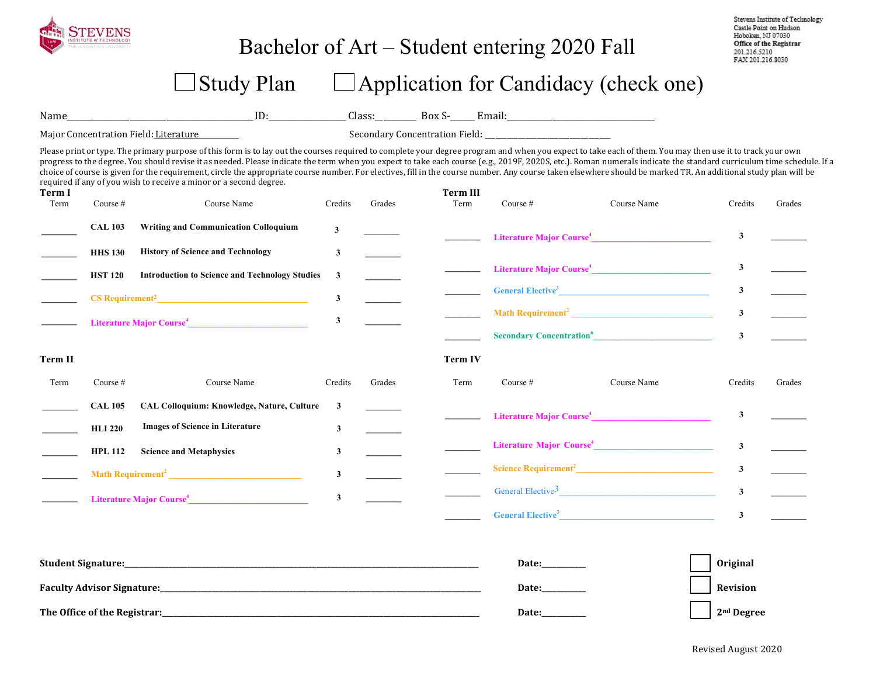

### Bachelor of Art – Student entering 2020 Fall

Stevens Institute of Technology Castle Point on Hudson Hoboken, NJ 07030 Office of the Registrar 201.216.5210 FAX 201.216.8030

## $\Box$  Study Plan  $\Box$  Application for Candidacy (check one)

Name\_\_\_\_\_\_\_\_\_\_\_\_\_\_\_\_\_\_\_\_\_\_\_\_\_\_\_\_\_\_\_\_\_\_\_\_\_\_\_\_\_\_\_\_\_ ID:\_\_\_\_\_\_\_\_\_\_\_\_\_\_\_\_\_\_\_ Class:\_\_\_\_\_\_\_\_\_\_ Box S-\_\_\_\_\_\_ Email:\_\_\_\_\_\_\_\_\_\_\_\_\_\_\_\_\_\_\_\_\_\_\_\_\_\_\_\_\_\_\_\_\_\_\_\_ 

Major Concentration Field: Literature The Secondary Concentration Field: \_\_\_\_\_\_\_\_\_\_\_\_\_\_

Please print or type. The primary purpose of this form is to lay out the courses required to complete your degree program and when you expect to take each of them. You may then use it to track your own progress to the degree. You should revise it as needed. Please indicate the term when you expect to take each course (e.g., 2019F, 2020S, etc.). Roman numerals indicate the standard curriculum time schedule. If a choice of course is given for the requirement, circle the appropriate course number. For electives, fill in the course number. Any course taken elsewhere should be marked TR. An additional study plan will be required if any of you wish to receive a minor or a second degree.

| Term I<br>Term | Course #       | Course Name                                           | Credits                 | Grades | <b>Term III</b><br>Term | Course #                                    | Course Name                                           | Credits        | Grades |
|----------------|----------------|-------------------------------------------------------|-------------------------|--------|-------------------------|---------------------------------------------|-------------------------------------------------------|----------------|--------|
|                | <b>CAL 103</b> | <b>Writing and Communication Colloquium</b>           | $\mathbf{3}$            |        |                         |                                             | Literature Major Course <sup>4</sup>                  | 3              |        |
|                | <b>HHS 130</b> | <b>History of Science and Technology</b>              | $\mathbf{3}$            |        |                         |                                             |                                                       |                |        |
|                | <b>HST 120</b> | <b>Introduction to Science and Technology Studies</b> | 3                       |        |                         |                                             | Literature Major Course <sup>4</sup>                  | 3              |        |
|                |                |                                                       | $\mathbf{3}$            |        |                         |                                             | General Elective <sup>3</sup>                         | 3              |        |
|                |                | Literature Major Course <sup>4</sup>                  | $\mathbf{3}$            |        |                         |                                             |                                                       | $\mathbf{3}$   |        |
|                |                |                                                       |                         |        |                         | <b>Secondary Concentration</b> <sup>6</sup> |                                                       | $\mathbf{3}$   |        |
| Term II        |                |                                                       |                         |        | <b>Term IV</b>          |                                             |                                                       |                |        |
| Term           | Course $#$     | Course Name                                           | Credits                 | Grades | Term                    | Course $#$                                  | Course Name                                           | Credits        | Grades |
|                | <b>CAL 105</b> | CAL Colloquium: Knowledge, Nature, Culture            | 3                       |        |                         |                                             | Literature Major Course <sup>4</sup>                  | 3              |        |
|                | <b>HLI 220</b> | <b>Images of Science in Literature</b>                | 3                       |        |                         |                                             |                                                       |                |        |
|                | <b>HPL 112</b> | <b>Science and Metaphysics</b>                        | 3                       |        |                         |                                             |                                                       | $\overline{3}$ |        |
|                |                | Math Requirement <sup>2</sup>                         | $\overline{\mathbf{3}}$ |        |                         |                                             |                                                       | $\mathbf{3}$   |        |
|                |                | Literature Major Course <sup>4</sup>                  | 3                       |        |                         |                                             | General Elective <sup>3</sup>                         | $\mathbf{3}$   |        |
|                |                |                                                       |                         |        |                         | <b>General Elective</b> <sup>3</sup>        | <u> 1989 - Andrea State Barbara, poeta esperanto-</u> | $\mathbf{3}$   |        |

| <b>Student Signature:</b>         | <b>Date:</b>                | Original               |
|-----------------------------------|-----------------------------|------------------------|
| <b>Faculty Advisor Signature:</b> | <b>Date:</b>                | Revision               |
| The Office of the Registrar:      | <b>Date:</b><br>___________ | 2 <sup>nd</sup> Degree |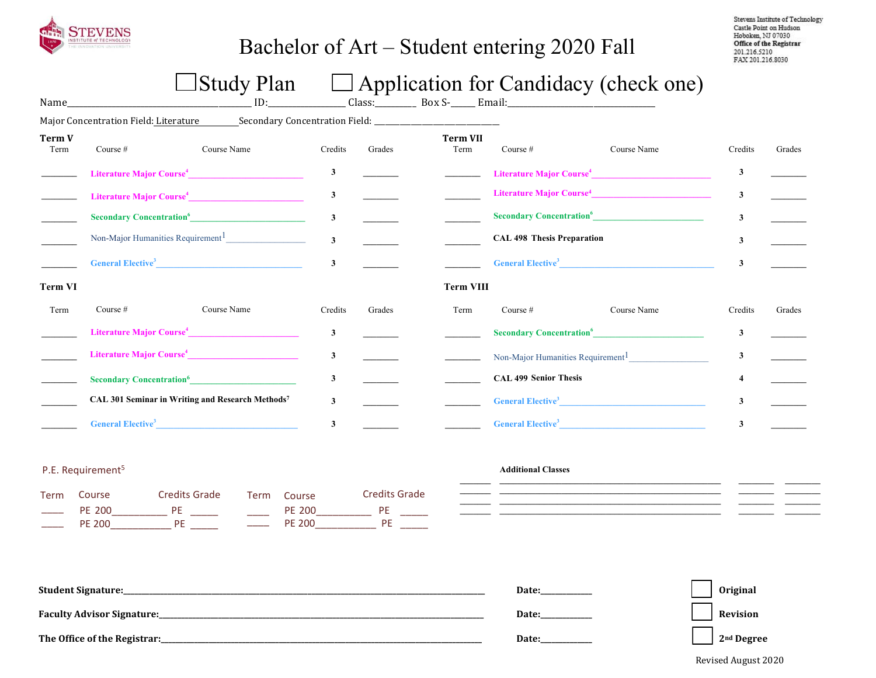

## Bachelor of Art – Student entering 2020 Fall

Stevens Institute of Technology Castle Point on Hudson Hoboken, NJ 07030 Office of the Registrar<br>201.216.5210 FAX 201.216.8030

# $\Box$  Study Plan  $\Box$  Application for Candidacy (check one)

| Name_                 |                                      | ID:                                                                                                                                                                                                                                         |                         |                | Class: _________ Box S-_____ Email: |                                   |                                               |         |        |
|-----------------------|--------------------------------------|---------------------------------------------------------------------------------------------------------------------------------------------------------------------------------------------------------------------------------------------|-------------------------|----------------|-------------------------------------|-----------------------------------|-----------------------------------------------|---------|--------|
|                       |                                      |                                                                                                                                                                                                                                             |                         |                |                                     |                                   |                                               |         |        |
| <b>Term V</b><br>Term | Course #                             | Course Name                                                                                                                                                                                                                                 | Credits                 | Grades         | <b>Term VII</b><br>Term             | Course $#$                        | Course Name                                   | Credits | Grades |
|                       |                                      | Literature Major Course <sup>4</sup>                                                                                                                                                                                                        | 3                       |                |                                     |                                   | Literature Major Course <sup>4</sup>          | 3       |        |
|                       |                                      | Literature Major Course <sup>4</sup>                                                                                                                                                                                                        | 3                       |                |                                     |                                   | Literature Major Course <sup>4</sup>          | 3       |        |
|                       |                                      | Secondary Concentration <sup>6</sup>                                                                                                                                                                                                        | $\mathbf{3}$            |                |                                     |                                   | Secondary Concentration <sup>6</sup>          | 3       |        |
|                       |                                      | Non-Major Humanities Requirement <sup>1</sup>                                                                                                                                                                                               | $\mathbf{3}$            |                |                                     | <b>CAL 498 Thesis Preparation</b> |                                               | 3       |        |
|                       |                                      | <b>General Elective<sup>3</sup> Contract Contract Contract Contract Contract Contract Contract Contract Contract Contract Contract Contract Contract Contract Contract Contract Contract Contract Contract Contract Contract Contract C</b> | $\mathbf{3}$            |                |                                     |                                   | <b>General Elective<sup>3</sup></b>           | 3       |        |
| <b>Term VI</b>        |                                      |                                                                                                                                                                                                                                             |                         |                | <b>Term VIII</b>                    |                                   |                                               |         |        |
| Term                  | Course $#$                           | Course Name                                                                                                                                                                                                                                 | Credits                 | Grades         | Term                                | Course $#$                        | Course Name                                   | Credits | Grades |
|                       |                                      | Literature Major Course <sup>4</sup>                                                                                                                                                                                                        | $\mathbf{3}$            |                |                                     |                                   | Secondary Concentration <sup>6</sup>          | 3       |        |
|                       |                                      | Literature Major Course <sup>4</sup>                                                                                                                                                                                                        | $\overline{\mathbf{3}}$ | $\sim 10^{11}$ |                                     |                                   | Non-Major Humanities Requirement <sup>1</sup> | 3       |        |
|                       |                                      | Secondary Concentration <sup>6</sup>                                                                                                                                                                                                        | $\mathbf{3}$            |                |                                     | <b>CAL 499 Senior Thesis</b>      |                                               |         |        |
|                       |                                      | CAL 301 Seminar in Writing and Research Methods7                                                                                                                                                                                            | 3                       |                |                                     |                                   | General Elective <sup>3</sup>                 | 3       |        |
|                       | <b>General Elective</b> <sup>3</sup> |                                                                                                                                                                                                                                             | 3                       |                |                                     |                                   | General Elective <sup>3</sup>                 | 3       |        |

### P.E. Requirement<sup>5</sup>

| Term Course | Credits Grade | Term Course | Credits Grade |
|-------------|---------------|-------------|---------------|
| PF 200      |               | PF 200      |               |
| PF 200      | РF            | PF 200      | РF            |

#### **Additional Classes**

| <b>Student Signature:</b>         | Date:        | Original               |
|-----------------------------------|--------------|------------------------|
| <b>Faculty Advisor Signature:</b> | <b>Date:</b> | Revision               |
| The Office of the Registrar:      | <b>Date:</b> | 2 <sup>nd</sup> Degree |

#### Revised August 2020